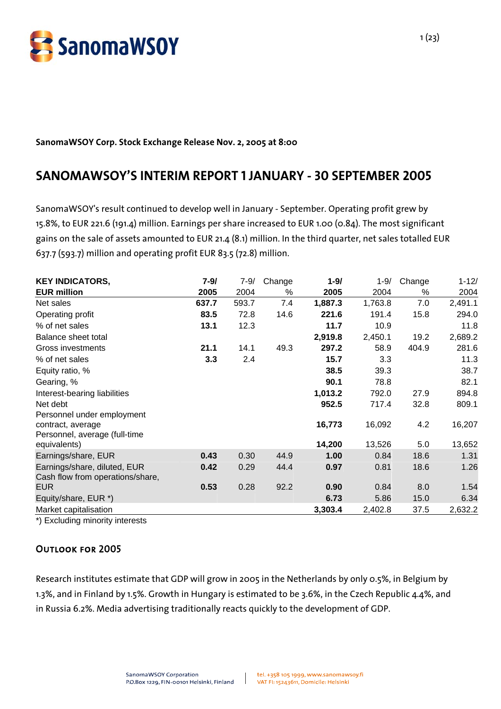

#### **SanomaWSOY Corp. Stock Exchange Release Nov. 2, 2005 at 8:00**

# **SANOMAWSOY'S INTERIM REPORT 1 JANUARY - 30 SEPTEMBER 2005**

SanomaWSOY's result continued to develop well in January - September. Operating profit grew by 15.8%, to EUR 221.6 (191.4) million. Earnings per share increased to EUR 1.00 (0.84). The most significant gains on the sale of assets amounted to EUR 21.4 (8.1) million. In the third quarter, net sales totalled EUR 637.7 (593.7) million and operating profit EUR 83.5 (72.8) million.

| <b>KEY INDICATORS,</b>           | $7 - 9/$ | $7 - 9/$ | Change | $1 - 9/$ | $1 - 9/$ | Change | $1 - 12/$ |
|----------------------------------|----------|----------|--------|----------|----------|--------|-----------|
| <b>EUR million</b>               | 2005     | 2004     | %      | 2005     | 2004     | %      | 2004      |
| Net sales                        | 637.7    | 593.7    | 7.4    | 1,887.3  | 1,763.8  | 7.0    | 2,491.1   |
| Operating profit                 | 83.5     | 72.8     | 14.6   | 221.6    | 191.4    | 15.8   | 294.0     |
| % of net sales                   | 13.1     | 12.3     |        | 11.7     | 10.9     |        | 11.8      |
| Balance sheet total              |          |          |        | 2,919.8  | 2,450.1  | 19.2   | 2,689.2   |
| <b>Gross investments</b>         | 21.1     | 14.1     | 49.3   | 297.2    | 58.9     | 404.9  | 281.6     |
| % of net sales                   | 3.3      | 2.4      |        | 15.7     | 3.3      |        | 11.3      |
| Equity ratio, %                  |          |          |        | 38.5     | 39.3     |        | 38.7      |
| Gearing, %                       |          |          |        | 90.1     | 78.8     |        | 82.1      |
| Interest-bearing liabilities     |          |          |        | 1,013.2  | 792.0    | 27.9   | 894.8     |
| Net debt                         |          |          |        | 952.5    | 717.4    | 32.8   | 809.1     |
| Personnel under employment       |          |          |        |          |          |        |           |
| contract, average                |          |          |        | 16,773   | 16,092   | 4.2    | 16,207    |
| Personnel, average (full-time    |          |          |        |          |          |        |           |
| equivalents)                     |          |          |        | 14,200   | 13,526   | 5.0    | 13,652    |
| Earnings/share, EUR              | 0.43     | 0.30     | 44.9   | 1.00     | 0.84     | 18.6   | 1.31      |
| Earnings/share, diluted, EUR     | 0.42     | 0.29     | 44.4   | 0.97     | 0.81     | 18.6   | 1.26      |
| Cash flow from operations/share, |          |          |        |          |          |        |           |
| <b>EUR</b>                       | 0.53     | 0.28     | 92.2   | 0.90     | 0.84     | 8.0    | 1.54      |
| Equity/share, EUR *)             |          |          |        | 6.73     | 5.86     | 15.0   | 6.34      |
| Market capitalisation            |          |          |        | 3,303.4  | 2,402.8  | 37.5   | 2,632.2   |

\*) Excluding minority interests

# Outlook for 2005

Research institutes estimate that GDP will grow in 2005 in the Netherlands by only 0.5%, in Belgium by 1.3%, and in Finland by 1.5%. Growth in Hungary is estimated to be 3.6%, in the Czech Republic 4.4%, and in Russia 6.2%. Media advertising traditionally reacts quickly to the development of GDP.

 $\mathbb{R}$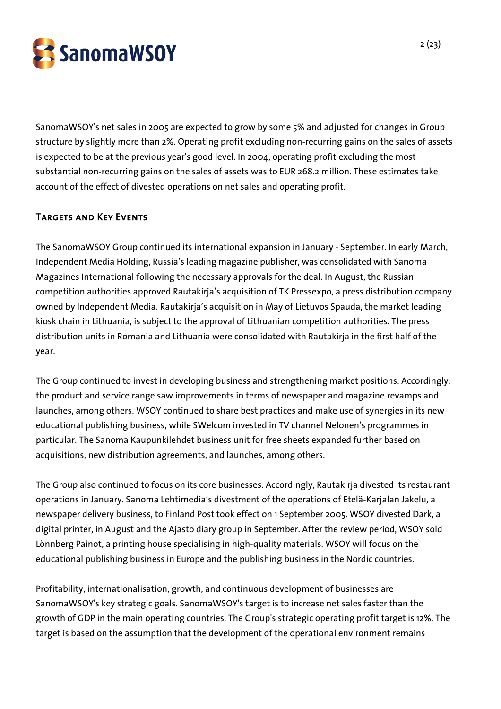

SanomaWSOY's net sales in 2005 are expected to grow by some 5% and adjusted for changes in Group structure by slightly more than 2%. Operating profit excluding non-recurring gains on the sales of assets is expected to be at the previous year's good level. In 2004, operating profit excluding the most substantial non-recurring gains on the sales of assets was to EUR 268.2 million. These estimates take account of the effect of divested operations on net sales and operating profit.

# Targets and Key Events

The SanomaWSOY Group continued its international expansion in January - September. In early March, Independent Media Holding, Russia's leading magazine publisher, was consolidated with Sanoma Magazines International following the necessary approvals for the deal. In August, the Russian competition authorities approved Rautakirja's acquisition of TK Pressexpo, a press distribution company owned by Independent Media. Rautakirja's acquisition in May of Lietuvos Spauda, the market leading kiosk chain in Lithuania, is subject to the approval of Lithuanian competition authorities. The press distribution units in Romania and Lithuania were consolidated with Rautakirja in the first half of the year.

The Group continued to invest in developing business and strengthening market positions. Accordingly, the product and service range saw improvements in terms of newspaper and magazine revamps and launches, among others. WSOY continued to share best practices and make use of synergies in its new educational publishing business, while SWelcom invested in TV channel Nelonen's programmes in particular. The Sanoma Kaupunkilehdet business unit for free sheets expanded further based on acquisitions, new distribution agreements, and launches, among others.

The Group also continued to focus on its core businesses. Accordingly, Rautakirja divested its restaurant operations in January. Sanoma Lehtimedia's divestment of the operations of Etelä-Karjalan Jakelu, a newspaper delivery business, to Finland Post took effect on 1 September 2005. WSOY divested Dark, a digital printer, in August and the Ajasto diary group in September. After the review period, WSOY sold Lönnberg Painot, a printing house specialising in high-quality materials. WSOY will focus on the educational publishing business in Europe and the publishing business in the Nordic countries.

Profitability, internationalisation, growth, and continuous development of businesses are SanomaWSOY's key strategic goals. SanomaWSOY's target is to increase net sales faster than the growth of GDP in the main operating countries. The Group's strategic operating profit target is 12%. The target is based on the assumption that the development of the operational environment remains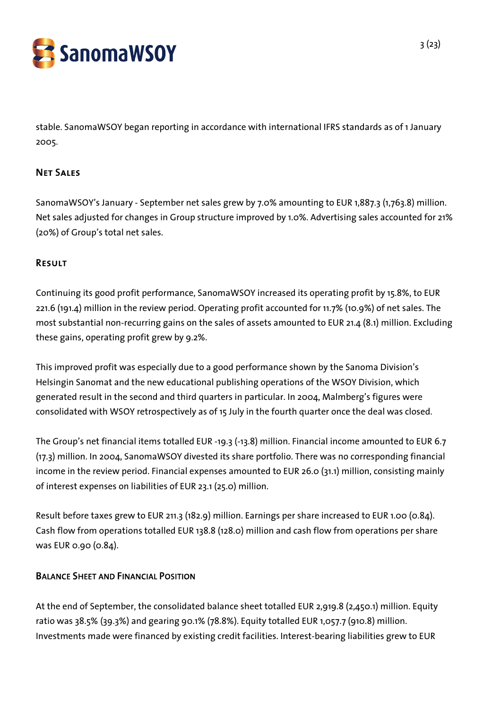

stable. SanomaWSOY began reporting in accordance with international IFRS standards as of 1 January 2005.

# Net Sales

SanomaWSOY's January - September net sales grew by 7.0% amounting to EUR 1,887.3 (1,763.8) million. Net sales adjusted for changes in Group structure improved by 1.0%. Advertising sales accounted for 21% (20%) of Group's total net sales.

## Result

Continuing its good profit performance, SanomaWSOY increased its operating profit by 15.8%, to EUR 221.6 (191.4) million in the review period. Operating profit accounted for 11.7% (10.9%) of net sales. The most substantial non-recurring gains on the sales of assets amounted to EUR 21.4 (8.1) million. Excluding these gains, operating profit grew by 9.2%.

This improved profit was especially due to a good performance shown by the Sanoma Division's Helsingin Sanomat and the new educational publishing operations of the WSOY Division, which generated result in the second and third quarters in particular. In 2004, Malmberg's figures were consolidated with WSOY retrospectively as of 15 July in the fourth quarter once the deal was closed.

The Group's net financial items totalled EUR -19.3 (-13.8) million. Financial income amounted to EUR 6.7 (17.3) million. In 2004, SanomaWSOY divested its share portfolio. There was no corresponding financial income in the review period. Financial expenses amounted to EUR 26.0 (31.1) million, consisting mainly of interest expenses on liabilities of EUR 23.1 (25.0) million.

Result before taxes grew to EUR 211.3 (182.9) million. Earnings per share increased to EUR 1.00 (0.84). Cash flow from operations totalled EUR 138.8 (128.0) million and cash flow from operations per share was EUR 0.90 (0.84).

# BALANCE SHEET AND FINANCIAL POSITION

At the end of September, the consolidated balance sheet totalled EUR 2,919.8 (2,450.1) million. Equity ratio was 38.5% (39.3%) and gearing 90.1% (78.8%). Equity totalled EUR 1,057.7 (910.8) million. Investments made were financed by existing credit facilities. Interest-bearing liabilities grew to EUR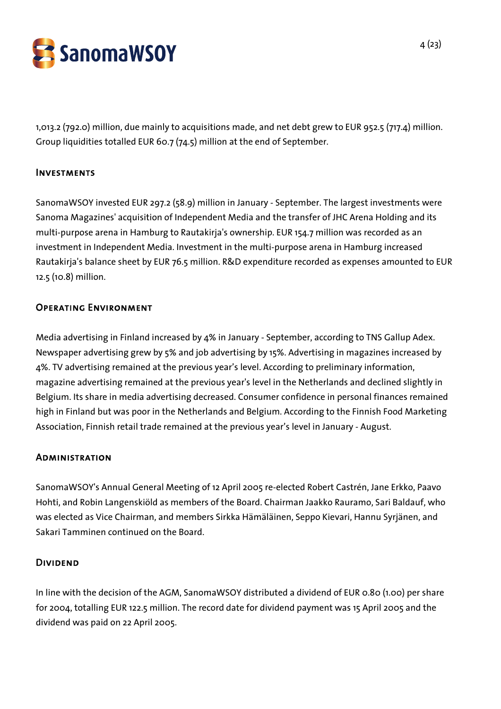

1,013.2 (792.0) million, due mainly to acquisitions made, and net debt grew to EUR 952.5 (717.4) million. Group liquidities totalled EUR 60.7 (74.5) million at the end of September.

#### Investments

SanomaWSOY invested EUR 297.2 (58.9) million in January - September. The largest investments were Sanoma Magazines' acquisition of Independent Media and the transfer of JHC Arena Holding and its multi-purpose arena in Hamburg to Rautakirja's ownership. EUR 154.7 million was recorded as an investment in Independent Media. Investment in the multi-purpose arena in Hamburg increased Rautakirja's balance sheet by EUR 76.5 million. R&D expenditure recorded as expenses amounted to EUR 12.5 (10.8) million.

#### Operating Environment

Media advertising in Finland increased by 4% in January - September, according to TNS Gallup Adex. Newspaper advertising grew by 5% and job advertising by 15%. Advertising in magazines increased by 4%. TV advertising remained at the previous year's level. According to preliminary information, magazine advertising remained at the previous year's level in the Netherlands and declined slightly in Belgium. Its share in media advertising decreased. Consumer confidence in personal finances remained high in Finland but was poor in the Netherlands and Belgium. According to the Finnish Food Marketing Association, Finnish retail trade remained at the previous year's level in January - August.

## **ADMINISTRATION**

SanomaWSOY's Annual General Meeting of 12 April 2005 re-elected Robert Castrén, Jane Erkko, Paavo Hohti, and Robin Langenskiöld as members of the Board. Chairman Jaakko Rauramo, Sari Baldauf, who was elected as Vice Chairman, and members Sirkka Hämäläinen, Seppo Kievari, Hannu Syrjänen, and Sakari Tamminen continued on the Board.

## **DIVIDEND**

In line with the decision of the AGM, SanomaWSOY distributed a dividend of EUR 0.80 (1.00) per share for 2004, totalling EUR 122.5 million. The record date for dividend payment was 15 April 2005 and the dividend was paid on 22 April 2005.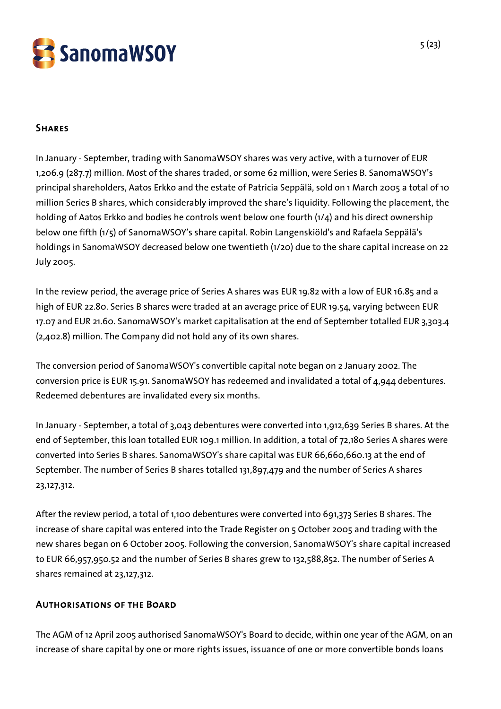

# **SHARES**

In January - September, trading with SanomaWSOY shares was very active, with a turnover of EUR 1,206.9 (287.7) million. Most of the shares traded, or some 62 million, were Series B. SanomaWSOY's principal shareholders, Aatos Erkko and the estate of Patricia Seppälä, sold on 1 March 2005 a total of 10 million Series B shares, which considerably improved the share's liquidity. Following the placement, the holding of Aatos Erkko and bodies he controls went below one fourth (1/4) and his direct ownership below one fifth (1/5) of SanomaWSOY's share capital. Robin Langenskiöld's and Rafaela Seppälä's holdings in SanomaWSOY decreased below one twentieth (1/20) due to the share capital increase on 22 July 2005.

In the review period, the average price of Series A shares was EUR 19.82 with a low of EUR 16.85 and a high of EUR 22.80. Series B shares were traded at an average price of EUR 19.54, varying between EUR 17.07 and EUR 21.60. SanomaWSOY's market capitalisation at the end of September totalled EUR 3,303.4 (2,402.8) million. The Company did not hold any of its own shares.

The conversion period of SanomaWSOY's convertible capital note began on 2 January 2002. The conversion price is EUR 15.91. SanomaWSOY has redeemed and invalidated a total of 4,944 debentures. Redeemed debentures are invalidated every six months.

In January - September, a total of 3,043 debentures were converted into 1,912,639 Series B shares. At the end of September, this loan totalled EUR 109.1 million. In addition, a total of 72,180 Series A shares were converted into Series B shares. SanomaWSOY's share capital was EUR 66,660,660.13 at the end of September. The number of Series B shares totalled 131,897,479 and the number of Series A shares 23,127,312.

After the review period, a total of 1,100 debentures were converted into 691,373 Series B shares. The increase of share capital was entered into the Trade Register on 5 October 2005 and trading with the new shares began on 6 October 2005. Following the conversion, SanomaWSOY's share capital increased to EUR 66,957,950.52 and the number of Series B shares grew to 132,588,852. The number of Series A shares remained at 23,127,312.

# Authorisations of the Board

The AGM of 12 April 2005 authorised SanomaWSOY's Board to decide, within one year of the AGM, on an increase of share capital by one or more rights issues, issuance of one or more convertible bonds loans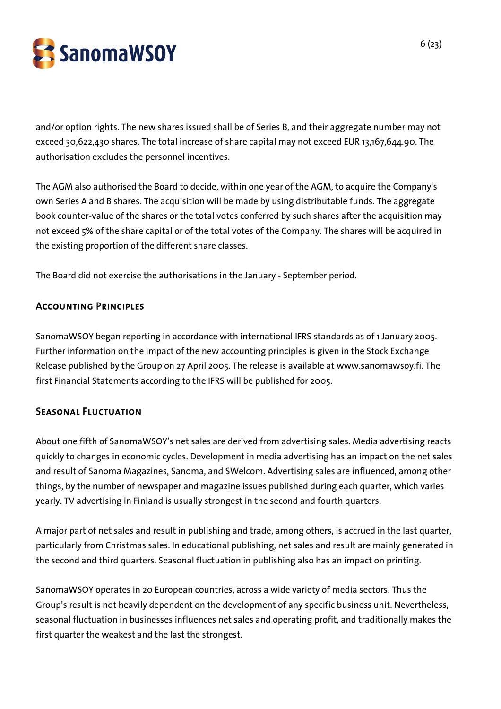

and/or option rights. The new shares issued shall be of Series B, and their aggregate number may not exceed 30,622,430 shares. The total increase of share capital may not exceed EUR 13,167,644.90. The authorisation excludes the personnel incentives.

The AGM also authorised the Board to decide, within one year of the AGM, to acquire the Company's own Series A and B shares. The acquisition will be made by using distributable funds. The aggregate book counter-value of the shares or the total votes conferred by such shares after the acquisition may not exceed 5% of the share capital or of the total votes of the Company. The shares will be acquired in the existing proportion of the different share classes.

The Board did not exercise the authorisations in the January - September period.

## Accounting Principles

SanomaWSOY began reporting in accordance with international IFRS standards as of 1 January 2005. Further information on the impact of the new accounting principles is given in the Stock Exchange Release published by the Group on 27 April 2005. The release is available at www.sanomawsoy.fi. The first Financial Statements according to the IFRS will be published for 2005.

## Seasonal Fluctuation

About one fifth of SanomaWSOY's net sales are derived from advertising sales. Media advertising reacts quickly to changes in economic cycles. Development in media advertising has an impact on the net sales and result of Sanoma Magazines, Sanoma, and SWelcom. Advertising sales are influenced, among other things, by the number of newspaper and magazine issues published during each quarter, which varies yearly. TV advertising in Finland is usually strongest in the second and fourth quarters.

A major part of net sales and result in publishing and trade, among others, is accrued in the last quarter, particularly from Christmas sales. In educational publishing, net sales and result are mainly generated in the second and third quarters. Seasonal fluctuation in publishing also has an impact on printing.

SanomaWSOY operates in 20 European countries, across a wide variety of media sectors. Thus the Group's result is not heavily dependent on the development of any specific business unit. Nevertheless, seasonal fluctuation in businesses influences net sales and operating profit, and traditionally makes the first quarter the weakest and the last the strongest.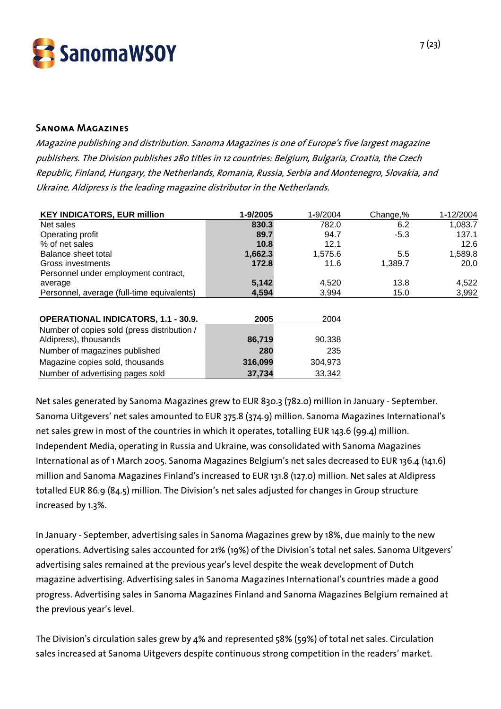

#### Sanoma Magazines

Magazine publishing and distribution. Sanoma Magazines is one of Europe's five largest magazine publishers. The Division publishes 280 titles in 12 countries: Belgium, Bulgaria, Croatia, the Czech Republic, Finland, Hungary, the Netherlands, Romania, Russia, Serbia and Montenegro, Slovakia, and Ukraine. Aldipress is the leading magazine distributor in the Netherlands.

| <b>KEY INDICATORS, EUR million</b>          | 1-9/2005 | 1-9/2004 | Change,% | 1-12/2004 |
|---------------------------------------------|----------|----------|----------|-----------|
| Net sales                                   | 830.3    | 782.0    | 6.2      | 1,083.7   |
| Operating profit                            | 89.7     | 94.7     | $-5.3$   | 137.1     |
| % of net sales                              | 10.8     | 12.1     |          | 12.6      |
| Balance sheet total                         | 1,662.3  | 1,575.6  | 5.5      | 1,589.8   |
| Gross investments                           | 172.8    | 11.6     | 1,389.7  | 20.0      |
| Personnel under employment contract,        |          |          |          |           |
| average                                     | 5,142    | 4,520    | 13.8     | 4,522     |
| Personnel, average (full-time equivalents)  | 4,594    | 3,994    | 15.0     | 3,992     |
|                                             |          |          |          |           |
| <b>OPERATIONAL INDICATORS, 1.1 - 30.9.</b>  | 2005     | 2004     |          |           |
| Number of copies sold (press distribution / |          |          |          |           |
| Aldipress), thousands                       | 86,719   | 90,338   |          |           |
| Number of magazines published               | 280      | 235      |          |           |
| Magazine copies sold, thousands             | 316,099  | 304,973  |          |           |
| Number of advertising pages sold            | 37,734   | 33,342   |          |           |

Net sales generated by Sanoma Magazines grew to EUR 830.3 (782.0) million in January - September. Sanoma Uitgevers' net sales amounted to EUR 375.8 (374.9) million. Sanoma Magazines International's net sales grew in most of the countries in which it operates, totalling EUR 143.6 (99.4) million. Independent Media, operating in Russia and Ukraine, was consolidated with Sanoma Magazines International as of 1 March 2005. Sanoma Magazines Belgium's net sales decreased to EUR 136.4 (141.6) million and Sanoma Magazines Finland's increased to EUR 131.8 (127.0) million. Net sales at Aldipress totalled EUR 86.9 (84.5) million. The Division's net sales adjusted for changes in Group structure increased by 1.3%.

In January - September, advertising sales in Sanoma Magazines grew by 18%, due mainly to the new operations. Advertising sales accounted for 21% (19%) of the Division's total net sales. Sanoma Uitgevers' advertising sales remained at the previous year's level despite the weak development of Dutch magazine advertising. Advertising sales in Sanoma Magazines International's countries made a good progress. Advertising sales in Sanoma Magazines Finland and Sanoma Magazines Belgium remained at the previous year's level.

The Division's circulation sales grew by 4% and represented 58% (59%) of total net sales. Circulation sales increased at Sanoma Uitgevers despite continuous strong competition in the readers' market.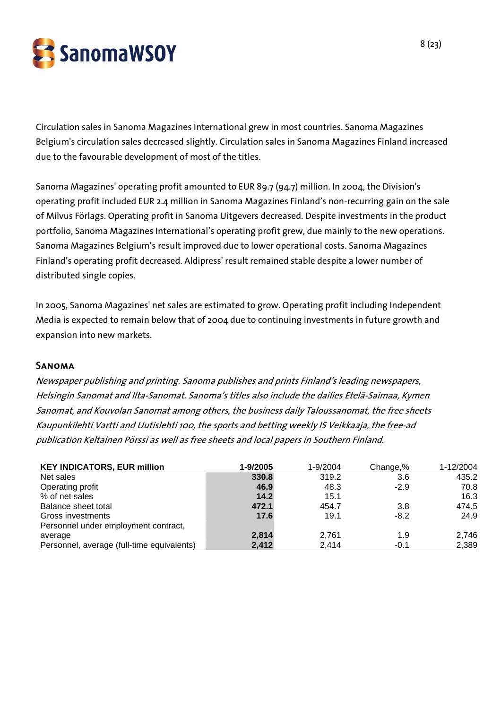

Circulation sales in Sanoma Magazines International grew in most countries. Sanoma Magazines Belgium's circulation sales decreased slightly. Circulation sales in Sanoma Magazines Finland increased due to the favourable development of most of the titles.

Sanoma Magazines' operating profit amounted to EUR 89.7 (94.7) million. In 2004, the Division's operating profit included EUR 2.4 million in Sanoma Magazines Finland's non-recurring gain on the sale of Milvus Förlags. Operating profit in Sanoma Uitgevers decreased. Despite investments in the product portfolio, Sanoma Magazines International's operating profit grew, due mainly to the new operations. Sanoma Magazines Belgium's result improved due to lower operational costs. Sanoma Magazines Finland's operating profit decreased. Aldipress' result remained stable despite a lower number of distributed single copies.

In 2005, Sanoma Magazines' net sales are estimated to grow. Operating profit including Independent Media is expected to remain below that of 2004 due to continuing investments in future growth and expansion into new markets.

#### Sanoma

Newspaper publishing and printing. Sanoma publishes and prints Finland's leading newspapers, Helsingin Sanomat and Ilta-Sanomat. Sanoma's titles also include the dailies Etelä-Saimaa, Kymen Sanomat, and Kouvolan Sanomat among others, the business daily Taloussanomat, the free sheets Kaupunkilehti Vartti and Uutislehti 100, the sports and betting weekly IS Veikkaaja, the free-ad publication Keltainen Pörssi as well as free sheets and local papers in Southern Finland.

| <b>KEY INDICATORS, EUR million</b>         | 1-9/2005 | 1-9/2004 | Change,% | 1-12/2004 |
|--------------------------------------------|----------|----------|----------|-----------|
| Net sales                                  | 330.8    | 319.2    | 3.6      | 435.2     |
| Operating profit                           | 46.9     | 48.3     | $-2.9$   | 70.8      |
| % of net sales                             | 14.2     | 15.1     |          | 16.3      |
| Balance sheet total                        | 472.1    | 454.7    | 3.8      | 474.5     |
| Gross investments                          | 17.6     | 19.1     | $-8.2$   | 24.9      |
| Personnel under employment contract,       |          |          |          |           |
| average                                    | 2,814    | 2,761    | 1.9      | 2,746     |
| Personnel, average (full-time equivalents) | 2,412    | 2.414    | $-0.1$   | 2,389     |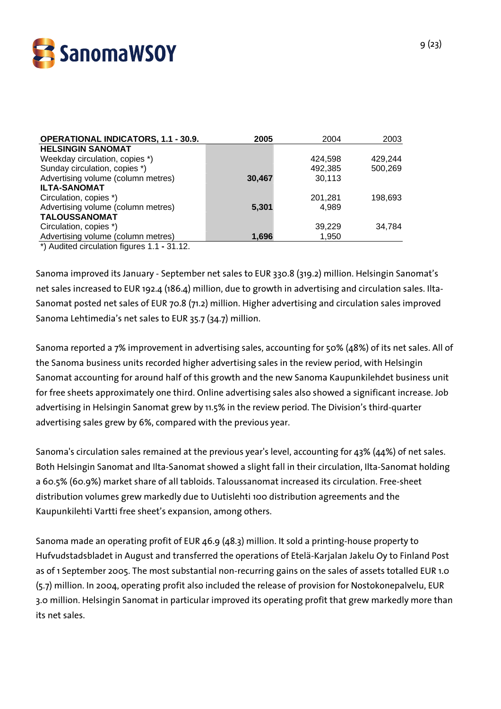

| <b>OPERATIONAL INDICATORS, 1.1 - 30.9.</b> | 2005   | 2004    | 2003    |
|--------------------------------------------|--------|---------|---------|
| <b>HELSINGIN SANOMAT</b>                   |        |         |         |
| Weekday circulation, copies *)             |        | 424,598 | 429,244 |
| Sunday circulation, copies *)              |        | 492,385 | 500,269 |
| Advertising volume (column metres)         | 30,467 | 30,113  |         |
| <b>ILTA-SANOMAT</b>                        |        |         |         |
| Circulation, copies *)                     |        | 201,281 | 198,693 |
| Advertising volume (column metres)         | 5,301  | 4.989   |         |
| <b>TALOUSSANOMAT</b>                       |        |         |         |
| Circulation, copies *)                     |        | 39,229  | 34.784  |
| Advertising volume (column metres)         | 1,696  | 1,950   |         |
|                                            |        |         |         |

\*) Audited circulation figures 1.1 **-** 31.12.

Sanoma improved its January - September net sales to EUR 330.8 (319.2) million. Helsingin Sanomat's net sales increased to EUR 192.4 (186.4) million, due to growth in advertising and circulation sales. Ilta-Sanomat posted net sales of EUR 70.8 (71.2) million. Higher advertising and circulation sales improved Sanoma Lehtimedia's net sales to EUR 35.7 (34.7) million.

Sanoma reported a 7% improvement in advertising sales, accounting for 50% (48%) of its net sales. All of the Sanoma business units recorded higher advertising sales in the review period, with Helsingin Sanomat accounting for around half of this growth and the new Sanoma Kaupunkilehdet business unit for free sheets approximately one third. Online advertising sales also showed a significant increase. Job advertising in Helsingin Sanomat grew by 11.5% in the review period. The Division's third-quarter advertising sales grew by 6%, compared with the previous year.

Sanoma's circulation sales remained at the previous year's level, accounting for 43% (44%) of net sales. Both Helsingin Sanomat and Ilta-Sanomat showed a slight fall in their circulation, Ilta-Sanomat holding a 60.5% (60.9%) market share of all tabloids. Taloussanomat increased its circulation. Free-sheet distribution volumes grew markedly due to Uutislehti 100 distribution agreements and the Kaupunkilehti Vartti free sheet's expansion, among others.

Sanoma made an operating profit of EUR 46.9 (48.3) million. It sold a printing-house property to Hufvudstadsbladet in August and transferred the operations of Etelä-Karjalan Jakelu Oy to Finland Post as of 1 September 2005. The most substantial non-recurring gains on the sales of assets totalled EUR 1.0 (5.7) million. In 2004, operating profit also included the release of provision for Nostokonepalvelu, EUR 3.0 million. Helsingin Sanomat in particular improved its operating profit that grew markedly more than its net sales.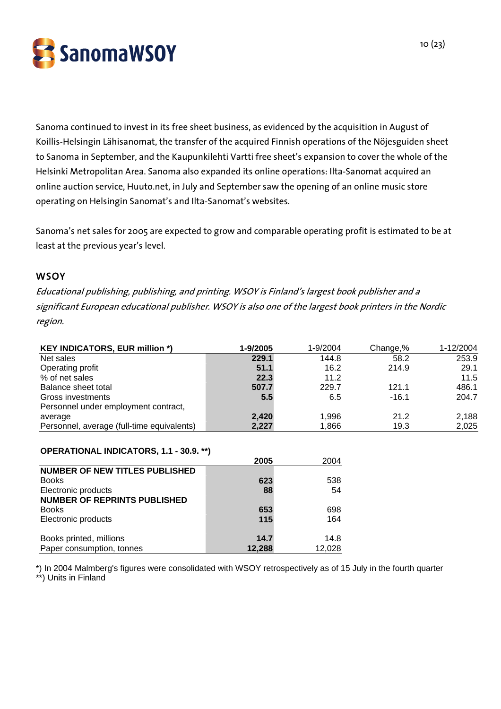SanomaWSOY

Sanoma continued to invest in its free sheet business, as evidenced by the acquisition in August of Koillis-Helsingin Lähisanomat, the transfer of the acquired Finnish operations of the Nöjesguiden sheet to Sanoma in September, and the Kaupunkilehti Vartti free sheet's expansion to cover the whole of the Helsinki Metropolitan Area. Sanoma also expanded its online operations: Ilta-Sanomat acquired an online auction service, Huuto.net, in July and September saw the opening of an online music store operating on Helsingin Sanomat's and Ilta-Sanomat's websites.

Sanoma's net sales for 2005 are expected to grow and comparable operating profit is estimated to be at least at the previous year's level.

#### **WSOY**

Educational publishing, publishing, and printing. WSOY is Finland's largest book publisher and a significant European educational publisher. WSOY is also one of the largest book printers in the Nordic region.

| <b>KEY INDICATORS, EUR million *)</b>      | 1-9/2005 | 1-9/2004 | Change,% | 1-12/2004 |
|--------------------------------------------|----------|----------|----------|-----------|
| Net sales                                  | 229.1    | 144.8    | 58.2     | 253.9     |
| Operating profit                           | 51.1     | 16.2     | 214.9    | 29.1      |
| % of net sales                             | 22.3     | 11.2     |          | 11.5      |
| Balance sheet total                        | 507.7    | 229.7    | 121.1    | 486.1     |
| Gross investments                          | 5.5      | 6.5      | $-16.1$  | 204.7     |
| Personnel under employment contract,       |          |          |          |           |
| average                                    | 2,420    | 1.996    | 21.2     | 2,188     |
| Personnel, average (full-time equivalents) | 2,227    | 1,866    | 19.3     | 2,025     |

#### **OPERATIONAL INDICATORS, 1.1 - 30.9. \*\*)**

|                                       | 2005   | 2004   |
|---------------------------------------|--------|--------|
| <b>NUMBER OF NEW TITLES PUBLISHED</b> |        |        |
| <b>Books</b>                          | 623    | 538    |
| Electronic products                   | 88     | 54     |
| <b>NUMBER OF REPRINTS PUBLISHED</b>   |        |        |
| <b>Books</b>                          | 653    | 698    |
| Electronic products                   | 115    | 164    |
|                                       |        |        |
| Books printed, millions               | 14.7   | 14.8   |
| Paper consumption, tonnes             | 12,288 | 12,028 |

\*) In 2004 Malmberg's figures were consolidated with WSOY retrospectively as of 15 July in the fourth quarter \*\*) Units in Finland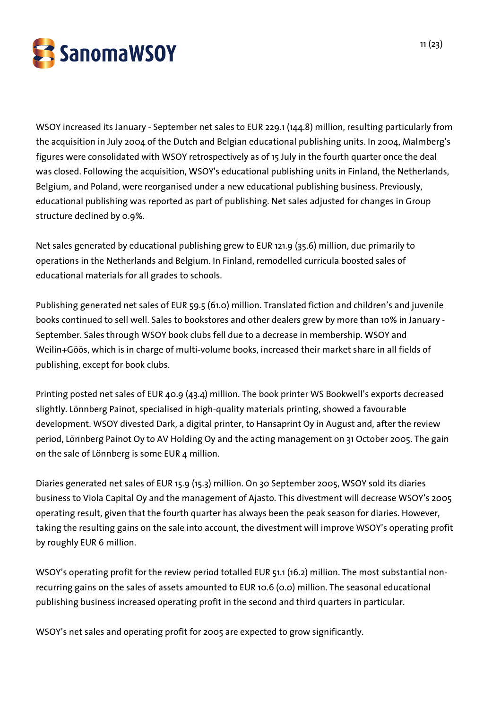

WSOY increased its January - September net sales to EUR 229.1 (144.8) million, resulting particularly from the acquisition in July 2004 of the Dutch and Belgian educational publishing units. In 2004, Malmberg's figures were consolidated with WSOY retrospectively as of 15 July in the fourth quarter once the deal was closed. Following the acquisition, WSOY's educational publishing units in Finland, the Netherlands, Belgium, and Poland, were reorganised under a new educational publishing business. Previously, educational publishing was reported as part of publishing. Net sales adjusted for changes in Group structure declined by 0.9%.

Net sales generated by educational publishing grew to EUR 121.9 (35.6) million, due primarily to operations in the Netherlands and Belgium. In Finland, remodelled curricula boosted sales of educational materials for all grades to schools.

Publishing generated net sales of EUR 59.5 (61.0) million. Translated fiction and children's and juvenile books continued to sell well. Sales to bookstores and other dealers grew by more than 10% in January - September. Sales through WSOY book clubs fell due to a decrease in membership. WSOY and Weilin+Göös, which is in charge of multi-volume books, increased their market share in all fields of publishing, except for book clubs.

Printing posted net sales of EUR 40.9 (43.4) million. The book printer WS Bookwell's exports decreased slightly. Lönnberg Painot, specialised in high-quality materials printing, showed a favourable development. WSOY divested Dark, a digital printer, to Hansaprint Oy in August and, after the review period, Lönnberg Painot Oy to AV Holding Oy and the acting management on 31 October 2005. The gain on the sale of Lönnberg is some EUR 4 million.

Diaries generated net sales of EUR 15.9 (15.3) million. On 30 September 2005, WSOY sold its diaries business to Viola Capital Oy and the management of Ajasto. This divestment will decrease WSOY's 2005 operating result, given that the fourth quarter has always been the peak season for diaries. However, taking the resulting gains on the sale into account, the divestment will improve WSOY's operating profit by roughly EUR 6 million.

WSOY's operating profit for the review period totalled EUR 51.1 (16.2) million. The most substantial nonrecurring gains on the sales of assets amounted to EUR 10.6 (0.0) million. The seasonal educational publishing business increased operating profit in the second and third quarters in particular.

WSOY's net sales and operating profit for 2005 are expected to grow significantly.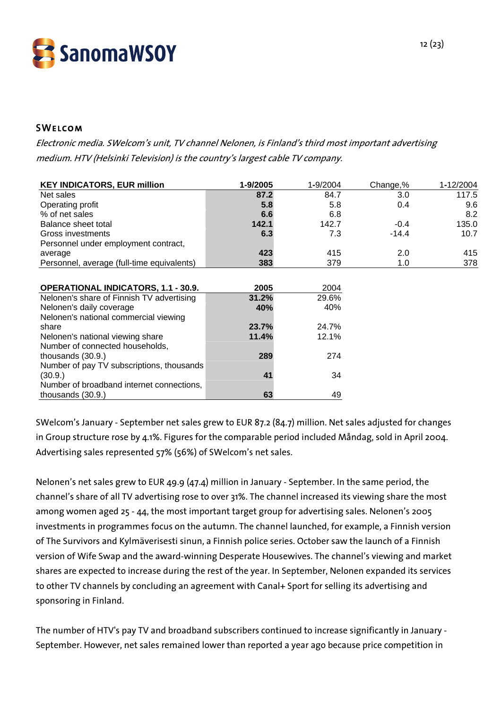

## **SWELCOM**

Electronic media. SWelcom's unit, TV channel Nelonen, is Finland's third most important advertising medium. HTV (Helsinki Television) is the country's largest cable TV company.

| <b>KEY INDICATORS, EUR million</b>         | 1-9/2005 | 1-9/2004 | Change,% | 1-12/2004 |
|--------------------------------------------|----------|----------|----------|-----------|
| Net sales                                  | 87.2     | 84.7     | 3.0      | 117.5     |
| Operating profit                           | 5.8      | 5.8      | 0.4      | 9.6       |
| % of net sales                             | 6.6      | 6.8      |          | 8.2       |
| Balance sheet total                        | 142.1    | 142.7    | $-0.4$   | 135.0     |
| Gross investments                          | 6.3      | 7.3      | $-14.4$  | 10.7      |
| Personnel under employment contract,       |          |          |          |           |
| average                                    | 423      | 415      | 2.0      | 415       |
| Personnel, average (full-time equivalents) | 383      | 379      | 1.0      | 378       |
|                                            |          |          |          |           |
| <b>OPERATIONAL INDICATORS, 1.1 - 30.9.</b> | 2005     | 2004     |          |           |
| Nelonen's share of Finnish TV advertising  | 31.2%    | 29.6%    |          |           |
| Nelonen's daily coverage                   | 40%      | 40%      |          |           |
| Nelonen's national commercial viewing      |          |          |          |           |
| share                                      | 23.7%    | 24.7%    |          |           |
| Nelonen's national viewing share           | 11.4%    | 12.1%    |          |           |
| Number of connected households,            |          |          |          |           |
| thousands $(30.9.)$                        | 289      | 274      |          |           |
| Number of pay TV subscriptions, thousands  |          |          |          |           |
| (30.9.)                                    | 41       | 34       |          |           |
| Number of broadband internet connections,  |          |          |          |           |
| thousands (30.9.)                          | 63       | 49       |          |           |

SWelcom's January - September net sales grew to EUR 87.2 (84.7) million. Net sales adjusted for changes in Group structure rose by 4.1%. Figures for the comparable period included Måndag, sold in April 2004. Advertising sales represented 57% (56%) of SWelcom's net sales.

Nelonen's net sales grew to EUR 49.9 (47.4) million in January - September. In the same period, the channel's share of all TV advertising rose to over 31%. The channel increased its viewing share the most among women aged 25 - 44, the most important target group for advertising sales. Nelonen's 2005 investments in programmes focus on the autumn. The channel launched, for example, a Finnish version of The Survivors and Kylmäverisesti sinun, a Finnish police series. October saw the launch of a Finnish version of Wife Swap and the award-winning Desperate Housewives. The channel's viewing and market shares are expected to increase during the rest of the year. In September, Nelonen expanded its services to other TV channels by concluding an agreement with Canal+ Sport for selling its advertising and sponsoring in Finland.

The number of HTV's pay TV and broadband subscribers continued to increase significantly in January - September. However, net sales remained lower than reported a year ago because price competition in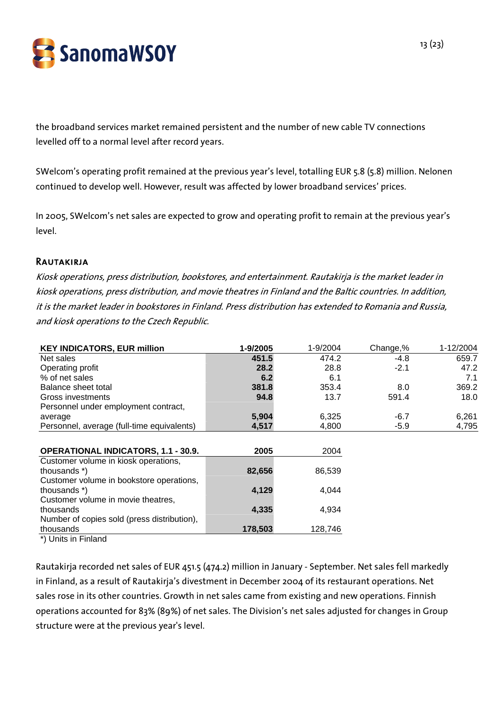

the broadband services market remained persistent and the number of new cable TV connections levelled off to a normal level after record years.

SWelcom's operating profit remained at the previous year's level, totalling EUR 5.8 (5.8) million. Nelonen continued to develop well. However, result was affected by lower broadband services' prices.

In 2005, SWelcom's net sales are expected to grow and operating profit to remain at the previous year's level.

#### **RAUTAKIRJA**

Kiosk operations, press distribution, bookstores, and entertainment. Rautakirja is the market leader in kiosk operations, press distribution, and movie theatres in Finland and the Baltic countries. In addition, it is the market leader in bookstores in Finland. Press distribution has extended to Romania and Russia, and kiosk operations to the Czech Republic.

| <b>KEY INDICATORS, EUR million</b>          | 1-9/2005 | 1-9/2004 | Change,% | 1-12/2004 |
|---------------------------------------------|----------|----------|----------|-----------|
| Net sales                                   | 451.5    | 474.2    | -4.8     | 659.7     |
| Operating profit                            | 28.2     | 28.8     | $-2.1$   | 47.2      |
| % of net sales                              | 6.2      | 6.1      |          | 7.1       |
| Balance sheet total                         | 381.8    | 353.4    | 8.0      | 369.2     |
| Gross investments                           | 94.8     | 13.7     | 591.4    | 18.0      |
| Personnel under employment contract,        |          |          |          |           |
| average                                     | 5,904    | 6,325    | $-6.7$   | 6,261     |
| Personnel, average (full-time equivalents)  | 4,517    | 4,800    | -5.9     | 4,795     |
|                                             |          |          |          |           |
| <b>OPERATIONAL INDICATORS, 1.1 - 30.9.</b>  | 2005     | 2004     |          |           |
| Customer volume in kiosk operations,        |          |          |          |           |
| thousands *)                                | 82,656   | 86,539   |          |           |
| Customer volume in bookstore operations,    |          |          |          |           |
| thousands *)                                | 4,129    | 4,044    |          |           |
| Customer volume in movie theatres,          |          |          |          |           |
| thousands                                   | 4,335    | 4,934    |          |           |
| Number of copies sold (press distribution), |          |          |          |           |
| thousands                                   | 178,503  | 128,746  |          |           |

\*) Units in Finland

Rautakirja recorded net sales of EUR 451.5 (474.2) million in January - September. Net sales fell markedly in Finland, as a result of Rautakirja's divestment in December 2004 of its restaurant operations. Net sales rose in its other countries. Growth in net sales came from existing and new operations. Finnish operations accounted for 83% (89%) of net sales. The Division's net sales adjusted for changes in Group structure were at the previous year's level.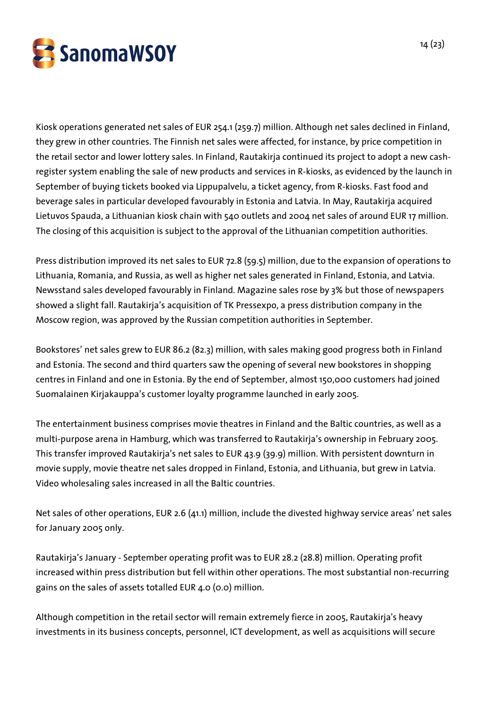

Kiosk operations generated net sales of EUR 254.1 (259.7) million. Although net sales declined in Finland, they grew in other countries. The Finnish net sales were affected, for instance, by price competition in the retail sector and lower lottery sales. In Finland, Rautakirja continued its project to adopt a new cashregister system enabling the sale of new products and services in R-kiosks, as evidenced by the launch in September of buying tickets booked via Lippupalvelu, a ticket agency, from R-kiosks. Fast food and beverage sales in particular developed favourably in Estonia and Latvia. In May, Rautakirja acquired Lietuvos Spauda, a Lithuanian kiosk chain with 540 outlets and 2004 net sales of around EUR 17 million. The closing of this acquisition is subject to the approval of the Lithuanian competition authorities.

Press distribution improved its net sales to EUR 72.8 (59.5) million, due to the expansion of operations to Lithuania, Romania, and Russia, as well as higher net sales generated in Finland, Estonia, and Latvia. Newsstand sales developed favourably in Finland. Magazine sales rose by 3% but those of newspapers showed a slight fall. Rautakirja's acquisition of TK Pressexpo, a press distribution company in the Moscow region, was approved by the Russian competition authorities in September.

Bookstores' net sales grew to EUR 86.2 (82.3) million, with sales making good progress both in Finland and Estonia. The second and third quarters saw the opening of several new bookstores in shopping centres in Finland and one in Estonia. By the end of September, almost 150,000 customers had joined Suomalainen Kirjakauppa's customer loyalty programme launched in early 2005.

The entertainment business comprises movie theatres in Finland and the Baltic countries, as well as a multi-purpose arena in Hamburg, which was transferred to Rautakirja's ownership in February 2005. This transfer improved Rautakirja's net sales to EUR 43.9 (39.9) million. With persistent downturn in movie supply, movie theatre net sales dropped in Finland, Estonia, and Lithuania, but grew in Latvia. Video wholesaling sales increased in all the Baltic countries.

Net sales of other operations, EUR 2.6 (41.1) million, include the divested highway service areas' net sales for January 2005 only.

Rautakirja's January - September operating profit was to EUR 28.2 (28.8) million. Operating profit increased within press distribution but fell within other operations. The most substantial non-recurring gains on the sales of assets totalled EUR 4.0 (0.0) million.

Although competition in the retail sector will remain extremely fierce in 2005, Rautakirja's heavy investments in its business concepts, personnel, ICT development, as well as acquisitions will secure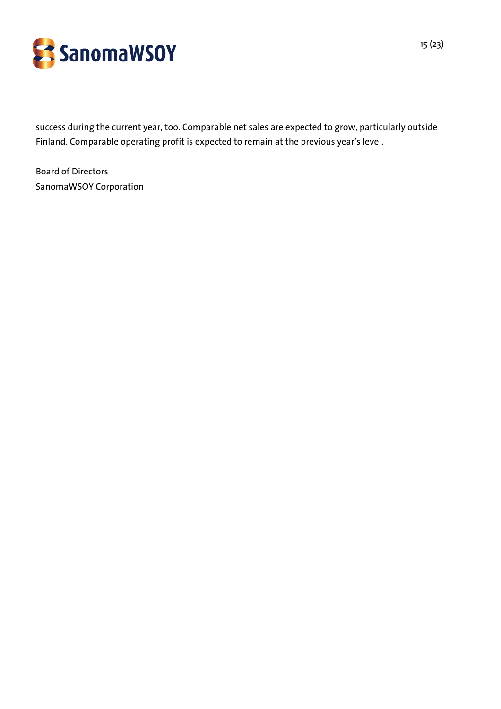

success during the current year, too. Comparable net sales are expected to grow, particularly outside Finland. Comparable operating profit is expected to remain at the previous year's level.

Board of Directors SanomaWSOY Corporation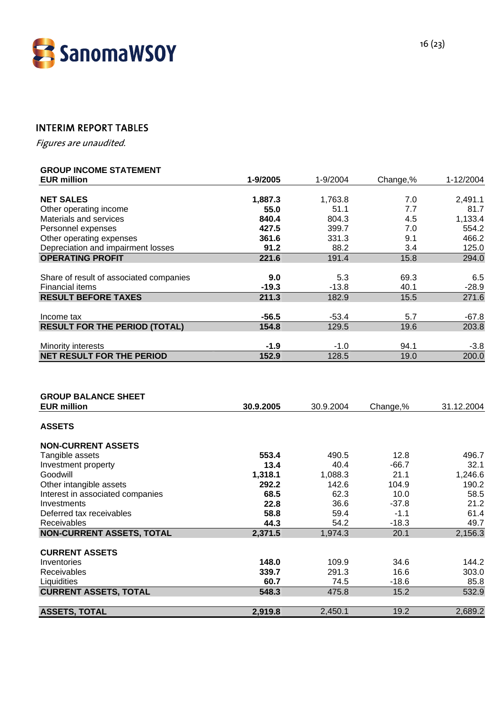

# INTERIM REPORT TABLES

Figures are unaudited.

## **GROUP INCOME STATEMENT**

| <b>EUR million</b>                      | 1-9/2005 | 1-9/2004 | Change,% | 1-12/2004 |
|-----------------------------------------|----------|----------|----------|-----------|
|                                         |          |          |          |           |
| <b>NET SALES</b>                        | 1,887.3  | 1,763.8  | 7.0      | 2,491.1   |
| Other operating income                  | 55.0     | 51.1     | 7.7      | 81.7      |
| Materials and services                  | 840.4    | 804.3    | 4.5      | 1,133.4   |
| Personnel expenses                      | 427.5    | 399.7    | 7.0      | 554.2     |
| Other operating expenses                | 361.6    | 331.3    | 9.1      | 466.2     |
| Depreciation and impairment losses      | 91.2     | 88.2     | 3.4      | 125.0     |
| <b>OPERATING PROFIT</b>                 | 221.6    | 191.4    | 15.8     | 294.0     |
|                                         |          |          |          |           |
| Share of result of associated companies | 9.0      | 5.3      | 69.3     | 6.5       |
| <b>Financial items</b>                  | $-19.3$  | $-13.8$  | 40.1     | $-28.9$   |
| <b>RESULT BEFORE TAXES</b>              | 211.3    | 182.9    | 15.5     | 271.6     |
| Income tax                              | $-56.5$  | -53.4    | 5.7      | $-67.8$   |
| <b>RESULT FOR THE PERIOD (TOTAL)</b>    | 154.8    | 129.5    | 19.6     | 203.8     |
| Minority interests                      | $-1.9$   | $-1.0$   | 94.1     | $-3.8$    |
| <b>NET RESULT FOR THE PERIOD</b>        | 152.9    | 128.5    | 19.0     | 200.0     |
|                                         |          |          |          |           |

| <b>GROUP BALANCE SHEET</b>       |           |           |          |            |
|----------------------------------|-----------|-----------|----------|------------|
| <b>EUR million</b>               | 30.9.2005 | 30.9.2004 | Change,% | 31.12.2004 |
| <b>ASSETS</b>                    |           |           |          |            |
| <b>NON-CURRENT ASSETS</b>        |           |           |          |            |
| Tangible assets                  | 553.4     | 490.5     | 12.8     | 496.7      |
| Investment property              | 13.4      | 40.4      | -66.7    | 32.1       |
| Goodwill                         | 1,318.1   | 1,088.3   | 21.1     | 1,246.6    |
| Other intangible assets          | 292.2     | 142.6     | 104.9    | 190.2      |
| Interest in associated companies | 68.5      | 62.3      | 10.0     | 58.5       |
| Investments                      | 22.8      | 36.6      | $-37.8$  | 21.2       |
| Deferred tax receivables         | 58.8      | 59.4      | $-1.1$   | 61.4       |
| Receivables                      | 44.3      | 54.2      | $-18.3$  | 49.7       |
| <b>NON-CURRENT ASSETS, TOTAL</b> | 2,371.5   | 1,974.3   | 20.1     | 2,156.3    |
| <b>CURRENT ASSETS</b>            |           |           |          |            |
| Inventories                      | 148.0     | 109.9     | 34.6     | 144.2      |
| <b>Receivables</b>               | 339.7     | 291.3     | 16.6     | 303.0      |
| Liquidities                      | 60.7      | 74.5      | $-18.6$  | 85.8       |
| <b>CURRENT ASSETS, TOTAL</b>     | 548.3     | 475.8     | 15.2     | 532.9      |
|                                  |           |           |          |            |
| <b>ASSETS, TOTAL</b>             | 2,919.8   | 2,450.1   | 19.2     | 2,689.2    |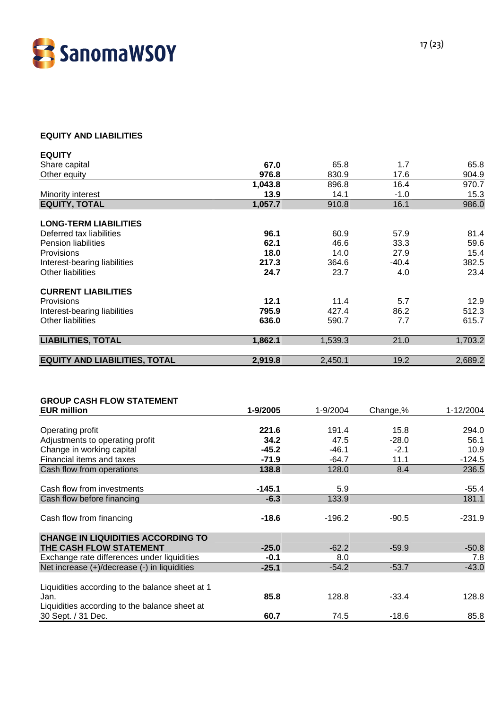

## **EQUITY AND LIABILITIES**

| <b>EQUITY</b>                        |         |         |         |         |
|--------------------------------------|---------|---------|---------|---------|
| Share capital                        | 67.0    | 65.8    | 1.7     | 65.8    |
| Other equity                         | 976.8   | 830.9   | 17.6    | 904.9   |
|                                      | 1,043.8 | 896.8   | 16.4    | 970.7   |
| Minority interest                    | 13.9    | 14.1    | $-1.0$  | 15.3    |
| <b>EQUITY, TOTAL</b>                 | 1,057.7 | 910.8   | 16.1    | 986.0   |
| <b>LONG-TERM LIABILITIES</b>         |         |         |         |         |
| Deferred tax liabilities             | 96.1    | 60.9    | 57.9    | 81.4    |
| <b>Pension liabilities</b>           | 62.1    | 46.6    | 33.3    | 59.6    |
| Provisions                           | 18.0    | 14.0    | 27.9    | 15.4    |
| Interest-bearing liabilities         | 217.3   | 364.6   | $-40.4$ | 382.5   |
| Other liabilities                    | 24.7    | 23.7    | 4.0     | 23.4    |
| <b>CURRENT LIABILITIES</b>           |         |         |         |         |
| Provisions                           | 12.1    | 11.4    | 5.7     | 12.9    |
| Interest-bearing liabilities         | 795.9   | 427.4   | 86.2    | 512.3   |
| Other liabilities                    | 636.0   | 590.7   | 7.7     | 615.7   |
| <b>LIABILITIES, TOTAL</b>            | 1,862.1 | 1,539.3 | 21.0    | 1,703.2 |
| <b>EQUITY AND LIABILITIES, TOTAL</b> | 2,919.8 | 2,450.1 | 19.2    | 2,689.2 |

| <b>GROUP CASH FLOW STATEMENT</b>                |          |          |          |           |
|-------------------------------------------------|----------|----------|----------|-----------|
| <b>EUR million</b>                              | 1-9/2005 | 1-9/2004 | Change,% | 1-12/2004 |
|                                                 |          |          |          |           |
| Operating profit                                | 221.6    | 191.4    | 15.8     | 294.0     |
| Adjustments to operating profit                 | 34.2     | 47.5     | $-28.0$  | 56.1      |
| Change in working capital                       | $-45.2$  | $-46.1$  | $-2.1$   | 10.9      |
| Financial items and taxes                       | $-71.9$  | $-64.7$  | 11.1     | $-124.5$  |
| Cash flow from operations                       | 138.8    | 128.0    | 8.4      | 236.5     |
|                                                 |          |          |          |           |
| Cash flow from investments                      | $-145.1$ | 5.9      |          | -55.4     |
| Cash flow before financing                      | $-6.3$   | 133.9    |          | 181.1     |
|                                                 |          |          |          |           |
| Cash flow from financing                        | $-18.6$  | $-196.2$ | $-90.5$  | $-231.9$  |
|                                                 |          |          |          |           |
| <b>CHANGE IN LIQUIDITIES ACCORDING TO</b>       |          |          |          |           |
| THE CASH FLOW STATEMENT                         | $-25.0$  | $-62.2$  | $-59.9$  | $-50.8$   |
| Exchange rate differences under liquidities     | $-0.1$   | 8.0      |          | 7.8       |
| Net increase (+)/decrease (-) in liquidities    | $-25.1$  | $-54.2$  | $-53.7$  | $-43.0$   |
|                                                 |          |          |          |           |
| Liquidities according to the balance sheet at 1 |          |          |          |           |
| Jan.                                            | 85.8     | 128.8    | $-33.4$  | 128.8     |
| Liquidities according to the balance sheet at   |          |          |          |           |
| 30 Sept. / 31 Dec.                              | 60.7     | 74.5     | $-18.6$  | 85.8      |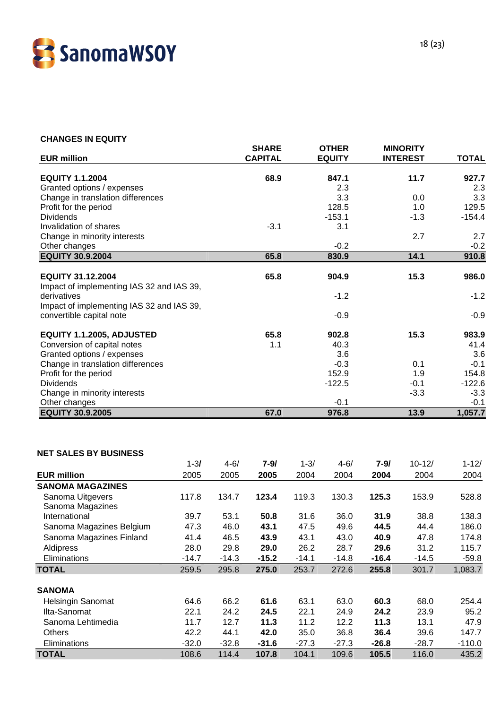

#### **CHANGES IN EQUITY**

| <b>EUR million</b>                                       |          |          | <b>SHARE</b><br><b>CAPITAL</b> |          | <b>OTHER</b><br><b>EQUITY</b> |          | <b>MINORITY</b><br><b>INTEREST</b> | <b>TOTAL</b> |
|----------------------------------------------------------|----------|----------|--------------------------------|----------|-------------------------------|----------|------------------------------------|--------------|
|                                                          |          |          |                                |          |                               |          |                                    |              |
| <b>EQUITY 1.1.2004</b>                                   |          |          | 68.9                           |          | 847.1                         |          | 11.7                               | 927.7        |
| Granted options / expenses                               |          |          |                                |          | 2.3                           |          |                                    | 2.3          |
| Change in translation differences                        |          |          |                                |          | 3.3                           |          | 0.0                                | 3.3          |
| Profit for the period<br><b>Dividends</b>                |          |          |                                |          | 128.5                         |          | 1.0                                | 129.5        |
| Invalidation of shares                                   |          |          | $-3.1$                         |          | $-153.1$<br>3.1               |          | $-1.3$                             | $-154.4$     |
| Change in minority interests                             |          |          |                                |          |                               |          | 2.7                                | 2.7          |
| Other changes                                            |          |          |                                |          | $-0.2$                        |          |                                    | $-0.2$       |
| <b>EQUITY 30.9.2004</b>                                  |          |          | 65.8                           |          | 830.9                         |          | 14.1                               | 910.8        |
|                                                          |          |          |                                |          |                               |          |                                    |              |
| <b>EQUITY 31.12.2004</b>                                 |          |          | 65.8                           |          | 904.9                         |          | 15.3                               | 986.0        |
| Impact of implementing IAS 32 and IAS 39,<br>derivatives |          |          |                                |          | $-1.2$                        |          |                                    | $-1.2$       |
| Impact of implementing IAS 32 and IAS 39,                |          |          |                                |          |                               |          |                                    |              |
| convertible capital note                                 |          |          |                                |          | $-0.9$                        |          |                                    | $-0.9$       |
|                                                          |          |          |                                |          |                               |          |                                    |              |
| EQUITY 1.1.2005, ADJUSTED                                |          |          | 65.8                           |          | 902.8                         |          | 15.3                               | 983.9        |
| Conversion of capital notes                              |          |          | 1.1                            |          | 40.3                          |          |                                    | 41.4         |
| Granted options / expenses                               |          |          |                                |          | 3.6                           |          |                                    | 3.6          |
| Change in translation differences                        |          |          |                                |          | $-0.3$                        |          | 0.1                                | $-0.1$       |
| Profit for the period                                    |          |          |                                |          | 152.9                         |          | 1.9                                | 154.8        |
| <b>Dividends</b>                                         |          |          |                                |          | $-122.5$                      |          | $-0.1$                             | $-122.6$     |
| Change in minority interests                             |          |          |                                |          |                               |          | $-3.3$                             | $-3.3$       |
| Other changes                                            |          |          |                                |          | $-0.1$                        |          |                                    | $-0.1$       |
| <b>EQUITY 30.9.2005</b>                                  |          |          | 67.0                           |          | 976.8                         |          | 13.9                               | 1,057.7      |
|                                                          |          |          |                                |          |                               |          |                                    |              |
| <b>NET SALES BY BUSINESS</b>                             |          |          |                                |          |                               |          |                                    |              |
|                                                          | $1 - 31$ | $4 - 6/$ | $7 - 9/$                       | $1 - 3/$ | $4 - 6/$                      | $7 - 9/$ | $10 - 12/$                         | $1 - 12/$    |
| <b>EUR million</b>                                       | 2005     | 2005     | 2005                           | 2004     | 2004                          | 2004     | 2004                               | 2004         |
| <b>SANOMA MAGAZINES</b>                                  |          |          |                                |          |                               |          |                                    |              |
| Sanoma Uitgevers                                         | 117.8    | 134.7    | 123.4                          | 119.3    | 130.3                         | 125.3    | 153.9                              | 528.8        |
| Sanoma Magazines                                         |          |          |                                |          |                               |          |                                    |              |
| International                                            | 39.7     | 53.1     | 50.8                           | 31.6     | 36.0                          | 31.9     | 38.8                               | 138.3        |
| Sanoma Magazines Belgium                                 | 47.3     | 46.0     | 43.1                           | 47.5     | 49.6                          | 44.5     | 44.4                               | 186.0        |
| Sanoma Magazines Finland                                 | 41.4     | 46.5     | 43.9                           | 43.1     | 43.0                          | 40.9     | 47.8                               | 174.8        |
| Aldipress                                                | 28.0     | 29.8     | 29.0                           | 26.2     | 28.7                          | 29.6     | 31.2                               | 115.7        |
| Eliminations                                             | $-14.7$  | $-14.3$  | $-15.2$                        | $-14.1$  | $-14.8$                       | $-16.4$  | $-14.5$                            | $-59.8$      |
| <b>TOTAL</b>                                             | 259.5    | 295.8    | 275.0                          | 253.7    | 272.6                         | 255.8    | 301.7                              | 1,083.7      |
|                                                          |          |          |                                |          |                               |          |                                    |              |
| <b>SANOMA</b>                                            |          |          |                                |          |                               |          |                                    |              |
| Helsingin Sanomat                                        | 64.6     | 66.2     | 61.6                           | 63.1     | 63.0                          | 60.3     | 68.0                               | 254.4        |
| Ilta-Sanomat                                             | 22.1     | 24.2     | 24.5                           | 22.1     | 24.9                          | 24.2     | 23.9                               | 95.2         |
| Sanoma Lehtimedia                                        | 11.7     | 12.7     | 11.3                           | 11.2     | 12.2                          | 11.3     | 13.1                               | 47.9         |
| Others                                                   | 42.2     | 44.1     | 42.0                           | 35.0     | 36.8                          | 36.4     | 39.6                               | 147.7        |
| Eliminations                                             | $-32.0$  | $-32.8$  | $-31.6$                        | $-27.3$  | $-27.3$                       | $-26.8$  | $-28.7$                            | $-110.0$     |
| <b>TOTAL</b>                                             | 108.6    | 114.4    | 107.8                          | 104.1    | 109.6                         | 105.5    | 116.0                              | 435.2        |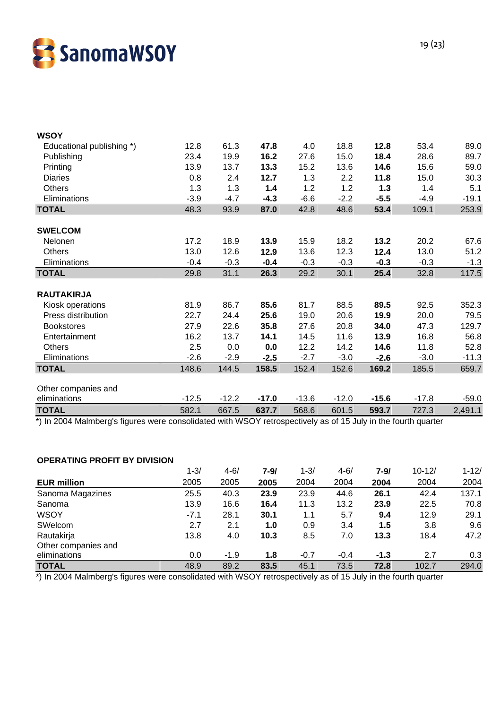

| <b>WSOY</b>               |         |         |         |         |         |         |         |         |
|---------------------------|---------|---------|---------|---------|---------|---------|---------|---------|
| Educational publishing *) | 12.8    | 61.3    | 47.8    | 4.0     | 18.8    | 12.8    | 53.4    | 89.0    |
| Publishing                | 23.4    | 19.9    | 16.2    | 27.6    | 15.0    | 18.4    | 28.6    | 89.7    |
| Printing                  | 13.9    | 13.7    | 13.3    | 15.2    | 13.6    | 14.6    | 15.6    | 59.0    |
| <b>Diaries</b>            | 0.8     | 2.4     | 12.7    | 1.3     | 2.2     | 11.8    | 15.0    | 30.3    |
| <b>Others</b>             | 1.3     | 1.3     | 1.4     | 1.2     | 1.2     | 1.3     | 1.4     | 5.1     |
| Eliminations              | $-3.9$  | $-4.7$  | $-4.3$  | $-6.6$  | $-2.2$  | $-5.5$  | $-4.9$  | $-19.1$ |
| <b>TOTAL</b>              | 48.3    | 93.9    | 87.0    | 42.8    | 48.6    | 53.4    | 109.1   | 253.9   |
|                           |         |         |         |         |         |         |         |         |
| <b>SWELCOM</b>            |         |         |         |         |         |         |         |         |
| Nelonen                   | 17.2    | 18.9    | 13.9    | 15.9    | 18.2    | 13.2    | 20.2    | 67.6    |
| Others                    | 13.0    | 12.6    | 12.9    | 13.6    | 12.3    | 12.4    | 13.0    | 51.2    |
| Eliminations              | $-0.4$  | $-0.3$  | $-0.4$  | $-0.3$  | $-0.3$  | $-0.3$  | $-0.3$  | $-1.3$  |
| <b>TOTAL</b>              | 29.8    | 31.1    | 26.3    | 29.2    | 30.1    | 25.4    | 32.8    | 117.5   |
| <b>RAUTAKIRJA</b>         |         |         |         |         |         |         |         |         |
| Kiosk operations          | 81.9    | 86.7    | 85.6    | 81.7    | 88.5    | 89.5    | 92.5    | 352.3   |
| Press distribution        | 22.7    | 24.4    | 25.6    | 19.0    | 20.6    | 19.9    | 20.0    | 79.5    |
| <b>Bookstores</b>         | 27.9    | 22.6    | 35.8    | 27.6    | 20.8    | 34.0    | 47.3    | 129.7   |
| Entertainment             | 16.2    | 13.7    | 14.1    | 14.5    | 11.6    | 13.9    | 16.8    | 56.8    |
| <b>Others</b>             | 2.5     | 0.0     | 0.0     | 12.2    | 14.2    | 14.6    | 11.8    | 52.8    |
| Eliminations              | $-2.6$  | $-2.9$  | $-2.5$  | $-2.7$  | $-3.0$  | $-2.6$  | $-3.0$  | $-11.3$ |
| <b>TOTAL</b>              | 148.6   | 144.5   | 158.5   | 152.4   | 152.6   | 169.2   | 185.5   | 659.7   |
| Other companies and       |         |         |         |         |         |         |         |         |
| eliminations              | $-12.5$ | $-12.2$ | $-17.0$ | $-13.6$ | $-12.0$ | $-15.6$ | $-17.8$ | $-59.0$ |
| <b>TOTAL</b>              | 582.1   | 667.5   | 637.7   | 568.6   | 601.5   | 593.7   | 727.3   | 2,491.1 |

\*) In 2004 Malmberg's figures were consolidated with WSOY retrospectively as of 15 July in the fourth quarter

#### **OPERATING PROFIT BY DIVISION**

| 2004<br>2004<br>2004<br>2004<br>2004                      |      | $4 - 6/$ | $1 - 3/$ |                     |
|-----------------------------------------------------------|------|----------|----------|---------------------|
|                                                           | 2005 | 2005     | 2005     | <b>EUR million</b>  |
| 137.1<br>23.9<br>44.6<br>26.1<br>42.4<br>40.3<br>23.9     |      |          | 25.5     | Sanoma Magazines    |
| 11.3<br>13.2<br>22.5<br>16.6<br>70.8<br>23.9<br>16.4      |      |          | 13.9     | Sanoma              |
| 12.9<br>28.1<br>5.7<br>29.1<br>30.1<br>9.4<br>1.1         |      |          | $-7.1$   | <b>WSOY</b>         |
| 2.1<br>3.8<br>0.9<br>3.4<br>9.6<br>1.0<br>1.5             |      |          | 2.7      | SWelcom             |
| 47.2<br>7.0<br>18.4<br>8.5<br>4.0<br>10.3<br>13.3         |      |          | 13.8     | Rautakirja          |
|                                                           |      |          |          | Other companies and |
| $-1.3$<br>2.7<br>$-1.9$<br>$-0.7$<br>$-0.4$<br>0.3<br>1.8 |      |          | 0.0      | eliminations        |
| 294.0<br>89.2<br>45.1<br>73.5<br>102.7<br>72.8<br>83.5    |      |          | 48.9     | <b>TOTAL</b>        |
|                                                           |      |          |          |                     |

\*) In 2004 Malmberg's figures were consolidated with WSOY retrospectively as of 15 July in the fourth quarter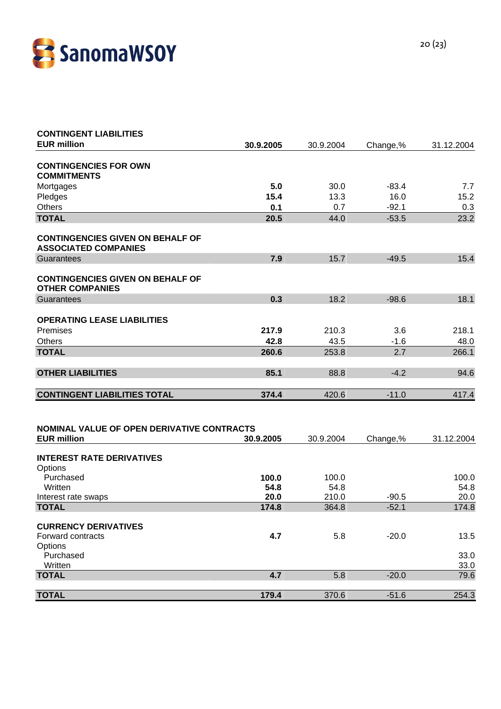

| <b>CONTINGENT LIABILITIES</b>                                          |           |           |          |            |
|------------------------------------------------------------------------|-----------|-----------|----------|------------|
| <b>EUR million</b>                                                     | 30.9.2005 | 30.9.2004 | Change,% | 31.12.2004 |
| <b>CONTINGENCIES FOR OWN</b>                                           |           |           |          |            |
| <b>COMMITMENTS</b>                                                     |           |           |          |            |
| Mortgages                                                              | 5.0       | 30.0      | $-83.4$  | 7.7        |
| Pledges                                                                | 15.4      | 13.3      | 16.0     | 15.2       |
| Others                                                                 | 0.1       | 0.7       | $-92.1$  | 0.3        |
| <b>TOTAL</b>                                                           | 20.5      | 44.0      | $-53.5$  | 23.2       |
| <b>CONTINGENCIES GIVEN ON BEHALF OF</b><br><b>ASSOCIATED COMPANIES</b> |           |           |          |            |
| Guarantees                                                             | 7.9       | 15.7      | $-49.5$  | 15.4       |
| <b>CONTINGENCIES GIVEN ON BEHALF OF</b><br><b>OTHER COMPANIES</b>      |           |           |          |            |
| Guarantees                                                             | 0.3       | 18.2      | $-98.6$  | 18.1       |
|                                                                        |           |           |          |            |
| <b>OPERATING LEASE LIABILITIES</b>                                     |           |           |          |            |
| Premises                                                               | 217.9     | 210.3     | 3.6      | 218.1      |
| <b>Others</b>                                                          | 42.8      | 43.5      | $-1.6$   | 48.0       |
| <b>TOTAL</b>                                                           | 260.6     | 253.8     | 2.7      | 266.1      |
| <b>OTHER LIABILITIES</b>                                               | 85.1      | 88.8      | $-4.2$   | 94.6       |
| <b>CONTINGENT LIABILITIES TOTAL</b>                                    | 374.4     | 420.6     | $-11.0$  | 417.4      |
|                                                                        |           |           |          |            |
| NOMINAL VALUE OF OPEN DERIVATIVE CONTRACTS                             |           |           |          |            |
| <b>EUR million</b>                                                     | 30.9.2005 | 30.9.2004 | Change,% | 31.12.2004 |
|                                                                        |           |           |          |            |
| <b>INTEREST RATE DERIVATIVES</b>                                       |           |           |          |            |
| Options<br>Purchased                                                   | 100.0     | 100.0     |          | 100.0      |
| Written                                                                | 54.8      | 54.8      |          | 54.8       |
| Interest rate swaps                                                    | 20.0      | 210.0     | $-90.5$  | 20.0       |
| <b>TOTAL</b>                                                           | 174.8     | 364.8     | $-52.1$  | 174.8      |
|                                                                        |           |           |          |            |
| <b>CURRENCY DERIVATIVES</b>                                            |           |           |          |            |
| Forward contracts<br>Options                                           | 4.7       | 5.8       | $-20.0$  | 13.5       |
| Purchased                                                              |           |           |          | 33.0       |
| Written                                                                |           |           |          | 33.0       |
| <b>TOTAL</b>                                                           | 4.7       | 5.8       | $-20.0$  | 79.6       |
| <b>TOTAL</b>                                                           | 179.4     | 370.6     | $-51.6$  | 254.3      |
|                                                                        |           |           |          |            |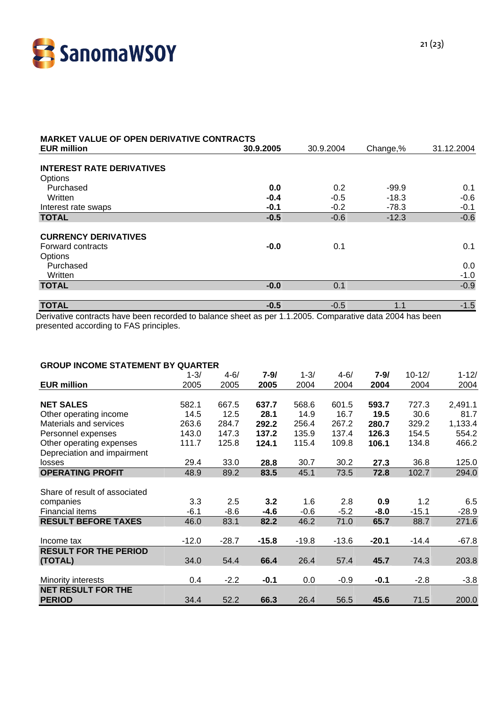

| <b>MARKET VALUE OF OPEN DERIVATIVE CONTRACTS</b><br><b>EUR million</b> | 30.9.2005 | 30.9.2004 | Change,% | 31.12.2004 |
|------------------------------------------------------------------------|-----------|-----------|----------|------------|
|                                                                        |           |           |          |            |
| <b>INTEREST RATE DERIVATIVES</b>                                       |           |           |          |            |
| Options                                                                |           |           |          |            |
| Purchased                                                              | 0.0       | 0.2       | $-99.9$  | 0.1        |
| Written                                                                | $-0.4$    | $-0.5$    | $-18.3$  | $-0.6$     |
| Interest rate swaps                                                    | $-0.1$    | $-0.2$    | $-78.3$  | $-0.1$     |
| <b>TOTAL</b>                                                           | $-0.5$    | $-0.6$    | $-12.3$  | $-0.6$     |
| <b>CURRENCY DERIVATIVES</b>                                            |           |           |          |            |
| Forward contracts                                                      | $-0.0$    | 0.1       |          | 0.1        |
| Options                                                                |           |           |          |            |
| Purchased                                                              |           |           |          | 0.0        |
| Written                                                                |           |           |          | $-1.0$     |
| <b>TOTAL</b>                                                           | $-0.0$    | 0.1       |          | $-0.9$     |
|                                                                        |           |           |          |            |
| <b>TOTAL</b>                                                           | $-0.5$    | $-0.5$    | 1.1      | $-1.5$     |

Derivative contracts have been recorded to balance sheet as per 1.1.2005. Comparative data 2004 has been presented according to FAS principles.

#### **GROUP INCOME STATEMENT BY QUARTER**

|                               | $1 - 3/$ | $4 - 6/$ | 7-9/    | $1 - 3/$ | $4 - 6/$ | 7-9/    | $10 - 12/$ | $1 - 12/$ |
|-------------------------------|----------|----------|---------|----------|----------|---------|------------|-----------|
| <b>EUR million</b>            | 2005     | 2005     | 2005    | 2004     | 2004     | 2004    | 2004       | 2004      |
|                               |          |          |         |          |          |         |            |           |
| <b>NET SALES</b>              | 582.1    | 667.5    | 637.7   | 568.6    | 601.5    | 593.7   | 727.3      | 2,491.1   |
| Other operating income        | 14.5     | 12.5     | 28.1    | 14.9     | 16.7     | 19.5    | 30.6       | 81.7      |
| Materials and services        | 263.6    | 284.7    | 292.2   | 256.4    | 267.2    | 280.7   | 329.2      | 1,133.4   |
| Personnel expenses            | 143.0    | 147.3    | 137.2   | 135.9    | 137.4    | 126.3   | 154.5      | 554.2     |
| Other operating expenses      | 111.7    | 125.8    | 124.1   | 115.4    | 109.8    | 106.1   | 134.8      | 466.2     |
| Depreciation and impairment   |          |          |         |          |          |         |            |           |
| losses                        | 29.4     | 33.0     | 28.8    | 30.7     | 30.2     | 27.3    | 36.8       | 125.0     |
| <b>OPERATING PROFIT</b>       | 48.9     | 89.2     | 83.5    | 45.1     | 73.5     | 72.8    | 102.7      | 294.0     |
|                               |          |          |         |          |          |         |            |           |
| Share of result of associated |          |          |         |          |          |         |            |           |
| companies                     | 3.3      | 2.5      | 3.2     | 1.6      | 2.8      | 0.9     | 1.2        | 6.5       |
| <b>Financial items</b>        | $-6.1$   | $-8.6$   | $-4.6$  | $-0.6$   | $-5.2$   | $-8.0$  | $-15.1$    | $-28.9$   |
| <b>RESULT BEFORE TAXES</b>    | 46.0     | 83.1     | 82.2    | 46.2     | 71.0     | 65.7    | 88.7       | 271.6     |
|                               |          |          |         |          |          |         |            |           |
| Income tax                    | $-12.0$  | $-28.7$  | $-15.8$ | $-19.8$  | $-13.6$  | $-20.1$ | $-14.4$    | $-67.8$   |
| <b>RESULT FOR THE PERIOD</b>  |          |          |         |          |          |         |            |           |
| (TOTAL)                       | 34.0     | 54.4     | 66.4    | 26.4     | 57.4     | 45.7    | 74.3       | 203.8     |
|                               |          |          |         |          |          |         |            |           |
| Minority interests            | 0.4      | $-2.2$   | $-0.1$  | 0.0      | $-0.9$   | $-0.1$  | $-2.8$     | $-3.8$    |
| <b>NET RESULT FOR THE</b>     |          |          |         |          |          |         |            |           |
| <b>PERIOD</b>                 | 34.4     | 52.2     | 66.3    | 26.4     | 56.5     | 45.6    | 71.5       | 200.0     |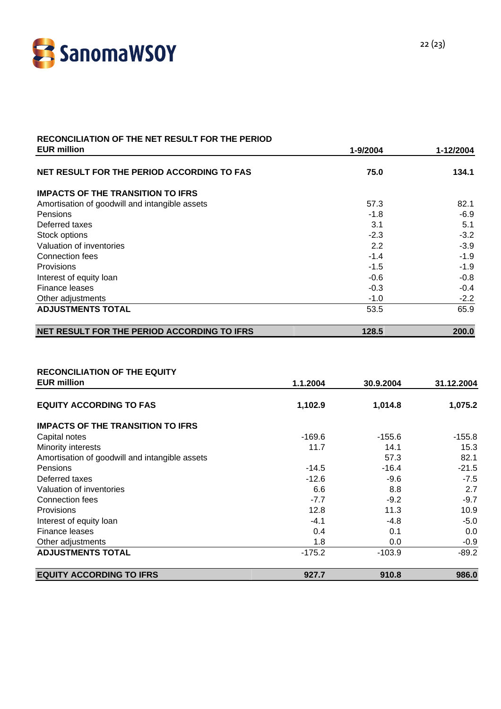

# **RECONCILIATION OF THE NET RESULT FOR THE PERIOD**

| <b>EUR million</b>                             | 1-9/2004 | 1-12/2004 |
|------------------------------------------------|----------|-----------|
| NET RESULT FOR THE PERIOD ACCORDING TO FAS     | 75.0     | 134.1     |
| <b>IMPACTS OF THE TRANSITION TO IFRS</b>       |          |           |
| Amortisation of goodwill and intangible assets | 57.3     | 82.1      |
| <b>Pensions</b>                                | $-1.8$   | $-6.9$    |
| Deferred taxes                                 | 3.1      | 5.1       |
| Stock options                                  | $-2.3$   | $-3.2$    |
| Valuation of inventories                       | 2.2      | $-3.9$    |
| Connection fees                                | $-1.4$   | $-1.9$    |
| Provisions                                     | $-1.5$   | $-1.9$    |
| Interest of equity loan                        | $-0.6$   | $-0.8$    |
| Finance leases                                 | $-0.3$   | $-0.4$    |
| Other adjustments                              | $-1.0$   | $-2.2$    |
| <b>ADJUSTMENTS TOTAL</b>                       | 53.5     | 65.9      |
| NET RESULT FOR THE PERIOD ACCORDING TO IFRS    | 128.5    | 200.0     |

#### **RECONCILIATION OF THE EQUITY**

| <b>EUR million</b>                             | 1.1.2004 | 30.9.2004 | 31.12.2004 |
|------------------------------------------------|----------|-----------|------------|
| <b>EQUITY ACCORDING TO FAS</b>                 | 1,102.9  | 1,014.8   | 1,075.2    |
| <b>IMPACTS OF THE TRANSITION TO IFRS</b>       |          |           |            |
| Capital notes                                  | $-169.6$ | $-155.6$  | $-155.8$   |
| Minority interests                             | 11.7     | 14.1      | 15.3       |
| Amortisation of goodwill and intangible assets |          | 57.3      | 82.1       |
| <b>Pensions</b>                                | $-14.5$  | $-16.4$   | $-21.5$    |
| Deferred taxes                                 | $-12.6$  | $-9.6$    | $-7.5$     |
| Valuation of inventories                       | 6.6      | 8.8       | 2.7        |
| Connection fees                                | $-7.7$   | $-9.2$    | $-9.7$     |
| Provisions                                     | 12.8     | 11.3      | 10.9       |
| Interest of equity loan                        | $-4.1$   | $-4.8$    | $-5.0$     |
| Finance leases                                 | 0.4      | 0.1       | 0.0        |
| Other adjustments                              | 1.8      | 0.0       | $-0.9$     |
| <b>ADJUSTMENTS TOTAL</b>                       | $-175.2$ | $-103.9$  | $-89.2$    |
| <b>EQUITY ACCORDING TO IFRS</b>                | 927.7    | 910.8     | 986.0      |